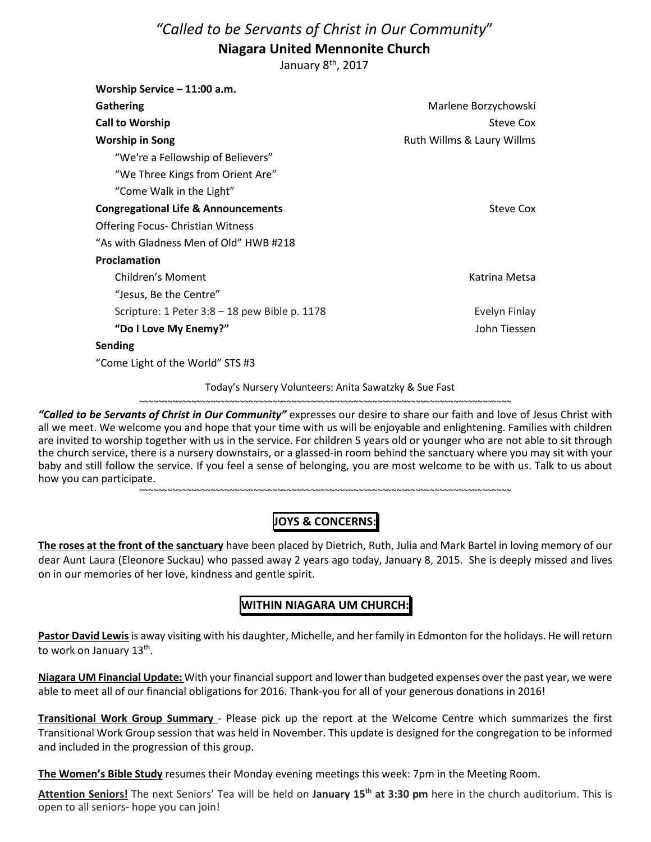# *"Called to be Servants of Christ in Our Community*" **Niagara United Mennonite Church**

January 8<sup>th</sup>, 2017

| Marlene Borzychowski       |
|----------------------------|
| Steve Cox                  |
| Ruth Willms & Laury Willms |
|                            |
|                            |
|                            |
| Steve Cox                  |
|                            |
|                            |
|                            |
| Katrina Metsa              |
|                            |
| Evelyn Finlay              |
| John Tiessen               |
|                            |
|                            |
|                            |

Today's Nursery Volunteers: Anita Sawatzky & Sue Fast ~~~~~~~~~~~~~~~~~~~~~~~~~~~~~~~~~~~~~~~~~~~~~~~~~~~~~~~~~~~~~~~~~~~~~~~~~~~~~~

*"Called to be Servants of Christ in Our Community"* expresses our desire to share our faith and love of Jesus Christ with all we meet. We welcome you and hope that your time with us will be enjoyable and enlightening. Families with children are invited to worship together with us in the service. For children 5 years old or younger who are not able to sit through the church service, there is a nursery downstairs, or a glassed-in room behind the sanctuary where you may sit with your baby and still follow the service. If you feel a sense of belonging, you are most welcome to be with us. Talk to us about how you can participate.

## **JOYS & CONCERNS:**

~~~~~~~~~~~~~~~~~~~~~~~~~~~~~~~~~~~~~~~~~~~~~~~~~~~~~~~~~~~~~~~~~~~~~~~~~~~~~~

**The roses at the front of the sanctuary** have been placed by Dietrich, Ruth, Julia and Mark Bartel in loving memory of our dear Aunt Laura (Eleonore Suckau) who passed away 2 years ago today, January 8, 2015. She is deeply missed and lives on in our memories of her love, kindness and gentle spirit.

### **WITHIN NIAGARA UM CHURCH:**

**Pastor David Lewis** is away visiting with his daughter, Michelle, and her family in Edmonton for the holidays. He will return to work on January 13th .

**Niagara UM Financial Update:** With your financial support and lower than budgeted expenses over the past year, we were able to meet all of our financial obligations for 2016. Thank-you for all of your generous donations in 2016!

**Transitional Work Group Summary** - Please pick up the report at the Welcome Centre which summarizes the first Transitional Work Group session that was held in November. This update is designed for the congregation to be informed and included in the progression of this group.

**The Women's Bible Study** resumes their Monday evening meetings this week: 7pm in the Meeting Room.

**Attention Seniors!** The next Seniors' Tea will be held on **January 15th at 3:30 pm** here in the church auditorium. This is open to all seniors- hope you can join!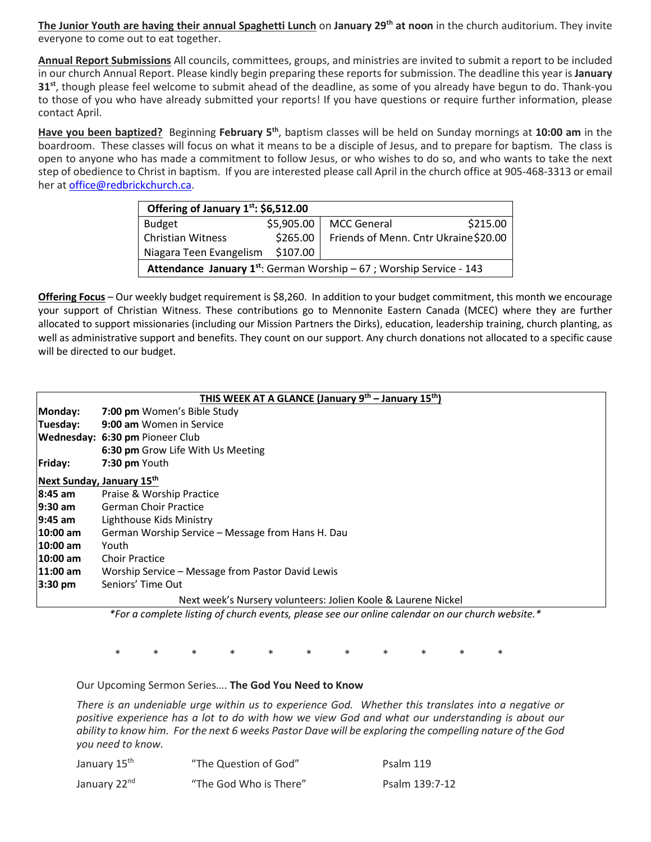**The Junior Youth are having their annual Spaghetti Lunch** on **January 29th at noon** in the church auditorium. They invite everyone to come out to eat together.

**Annual Report Submissions** All councils, committees, groups, and ministries are invited to submit a report to be included in our church Annual Report. Please kindly begin preparing these reports for submission. The deadline this year is **January 31st**, though please feel welcome to submit ahead of the deadline, as some of you already have begun to do. Thank-you to those of you who have already submitted your reports! If you have questions or require further information, please contact April.

**Have you been baptized?** Beginning **February 5th**, baptism classes will be held on Sunday mornings at **10:00 am** in the boardroom. These classes will focus on what it means to be a disciple of Jesus, and to prepare for baptism. The class is open to anyone who has made a commitment to follow Jesus, or who wishes to do so, and who wants to take the next step of obedience to Christ in baptism. If you are interested please call April in the church office at 905-468-3313 or email her at office@redbrickchurch.ca.

| Offering of January 1st: \$6,512.00                                         |            |                                      |          |  |  |
|-----------------------------------------------------------------------------|------------|--------------------------------------|----------|--|--|
| <b>Budget</b>                                                               | \$5,905.00 | <b>MCC General</b>                   | \$215.00 |  |  |
| Christian Witness                                                           | \$265.00   | Friends of Menn. Cntr Ukraine\$20.00 |          |  |  |
| Niagara Teen Evangelism                                                     | \$107.00   |                                      |          |  |  |
| <b>Attendance January 1st:</b> German Worship $-67$ ; Worship Service - 143 |            |                                      |          |  |  |

**Offering Focus** – Our weekly budget requirement is \$8,260. In addition to your budget commitment, this month we encourage your support of Christian Witness. These contributions go to Mennonite Eastern Canada (MCEC) where they are further allocated to support missionaries (including our Mission Partners the Dirks), education, leadership training, church planting, as well as administrative support and benefits. They count on our support. Any church donations not allocated to a specific cause will be directed to our budget.

| THIS WEEK AT A GLANCE (January 9 <sup>th</sup> – January 15 <sup>th</sup> ) |                                                   |  |  |  |
|-----------------------------------------------------------------------------|---------------------------------------------------|--|--|--|
| Monday:                                                                     | 7:00 pm Women's Bible Study                       |  |  |  |
| Tuesday:                                                                    | 9:00 am Women in Service                          |  |  |  |
|                                                                             | Wednesday: 6:30 pm Pioneer Club                   |  |  |  |
|                                                                             | 6:30 pm Grow Life With Us Meeting                 |  |  |  |
| Friday:                                                                     | 7:30 pm Youth                                     |  |  |  |
| Next Sunday, January 15th                                                   |                                                   |  |  |  |
| 8:45 am                                                                     | Praise & Worship Practice                         |  |  |  |
| $9:30$ am                                                                   | <b>German Choir Practice</b>                      |  |  |  |
| 19:45 am                                                                    | Lighthouse Kids Ministry                          |  |  |  |
| 10:00 am                                                                    | German Worship Service - Message from Hans H. Dau |  |  |  |
| 10:00 am                                                                    | Youth                                             |  |  |  |
| 10:00 am                                                                    | <b>Choir Practice</b>                             |  |  |  |
| 11:00 am                                                                    | Worship Service – Message from Pastor David Lewis |  |  |  |
| $3:30 \text{ pm}$                                                           | Seniors' Time Out                                 |  |  |  |
| Next week's Nursery volunteers: Jolien Koole & Laurene Nickel               |                                                   |  |  |  |

*\*For a complete listing of church events, please see our online calendar on our church website.\** 

\* \* \* \* \* \* \* \* \* \* \*

Our Upcoming Sermon Series…. **The God You Need to Know**

*There is an undeniable urge within us to experience God. Whether this translates into a negative or positive experience has a lot to do with how we view God and what our understanding is about our ability to know him. For the next 6 weeks Pastor Dave will be exploring the compelling nature of the God you need to know.* 

| January 15 <sup>th</sup> | "The Question of God"  | Psalm 119      |
|--------------------------|------------------------|----------------|
| January 22 <sup>nd</sup> | "The God Who is There" | Psalm 139:7-12 |